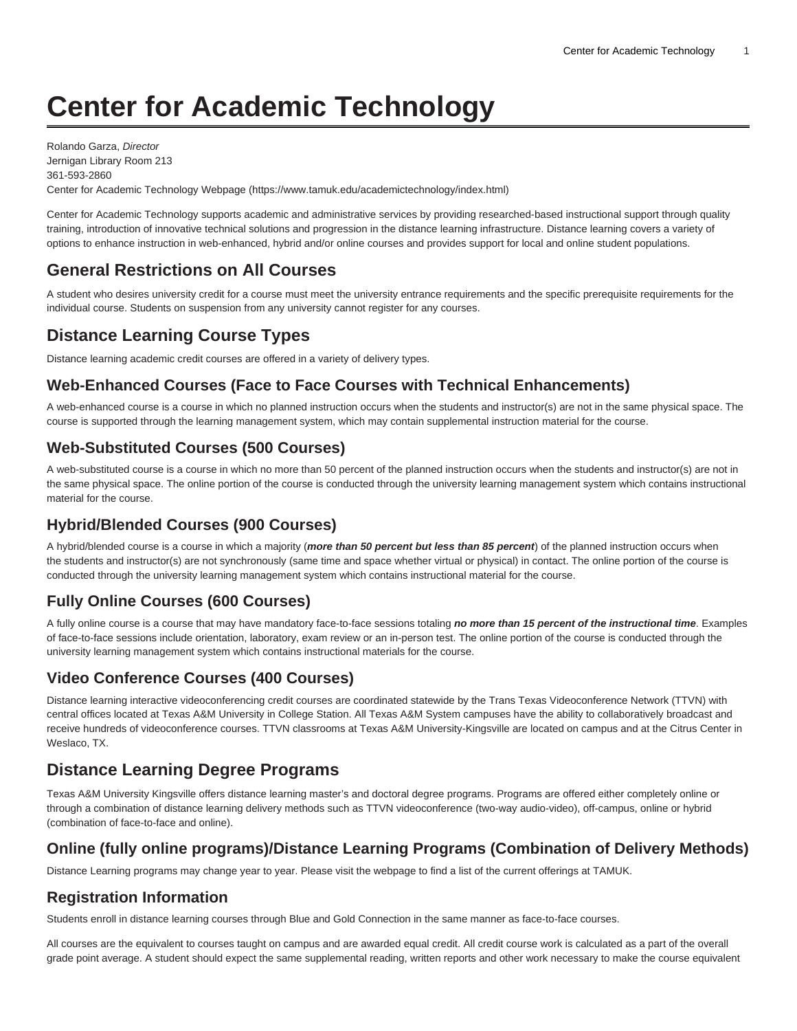# **Center for Academic Technology**

Rolando Garza, Director Jernigan Library Room 213 361-593-2860 Center for Academic Technology Webpage ([https://www.tamuk.edu/academictechnology/index.html\)](https://www.tamuk.edu/academictechnology/)

Center for Academic Technology supports academic and administrative services by providing researched-based instructional support through quality training, introduction of innovative technical solutions and progression in the distance learning infrastructure. Distance learning covers a variety of options to enhance instruction in web-enhanced, hybrid and/or online courses and provides support for local and online student populations.

## **General Restrictions on All Courses**

A student who desires university credit for a course must meet the university entrance requirements and the specific prerequisite requirements for the individual course. Students on suspension from any university cannot register for any courses.

## **Distance Learning Course Types**

Distance learning academic credit courses are offered in a variety of delivery types.

#### **Web-Enhanced Courses (Face to Face Courses with Technical Enhancements)**

A web-enhanced course is a course in which no planned instruction occurs when the students and instructor(s) are not in the same physical space. The course is supported through the learning management system, which may contain supplemental instruction material for the course.

#### **Web-Substituted Courses (500 Courses)**

A web-substituted course is a course in which no more than 50 percent of the planned instruction occurs when the students and instructor(s) are not in the same physical space. The online portion of the course is conducted through the university learning management system which contains instructional material for the course.

#### **Hybrid/Blended Courses (900 Courses)**

A hybrid/blended course is a course in which a majority (**more than 50 percent but less than 85 percent**) of the planned instruction occurs when the students and instructor(s) are not synchronously (same time and space whether virtual or physical) in contact. The online portion of the course is conducted through the university learning management system which contains instructional material for the course.

#### **Fully Online Courses (600 Courses)**

A fully online course is a course that may have mandatory face-to-face sessions totaling **no more than 15 percent of the instructional time**. Examples of face-to-face sessions include orientation, laboratory, exam review or an in-person test. The online portion of the course is conducted through the university learning management system which contains instructional materials for the course.

#### **Video Conference Courses (400 Courses)**

Distance learning interactive videoconferencing credit courses are coordinated statewide by the Trans Texas Videoconference Network (TTVN) with central offices located at Texas A&M University in College Station. All Texas A&M System campuses have the ability to collaboratively broadcast and receive hundreds of videoconference courses. TTVN classrooms at Texas A&M University-Kingsville are located on campus and at the Citrus Center in Weslaco, TX.

### **Distance Learning Degree Programs**

Texas A&M University Kingsville offers distance learning master's and doctoral degree programs. Programs are offered either completely online or through a combination of distance learning delivery methods such as TTVN videoconference (two-way audio-video), off-campus, online or hybrid (combination of face-to-face and online).

#### **Online (fully online programs)/Distance Learning Programs (Combination of Delivery Methods)**

Distance Learning programs may change year to year. Please visit the [webpage](https://www.tamuk.edu/academictechnology/onlineprograms.html) to find a list of the current offerings at TAMUK.

#### **Registration Information**

Students enroll in distance learning courses through Blue and Gold Connection in the same manner as face-to-face courses.

All courses are the equivalent to courses taught on campus and are awarded equal credit. All credit course work is calculated as a part of the overall grade point average. A student should expect the same supplemental reading, written reports and other work necessary to make the course equivalent